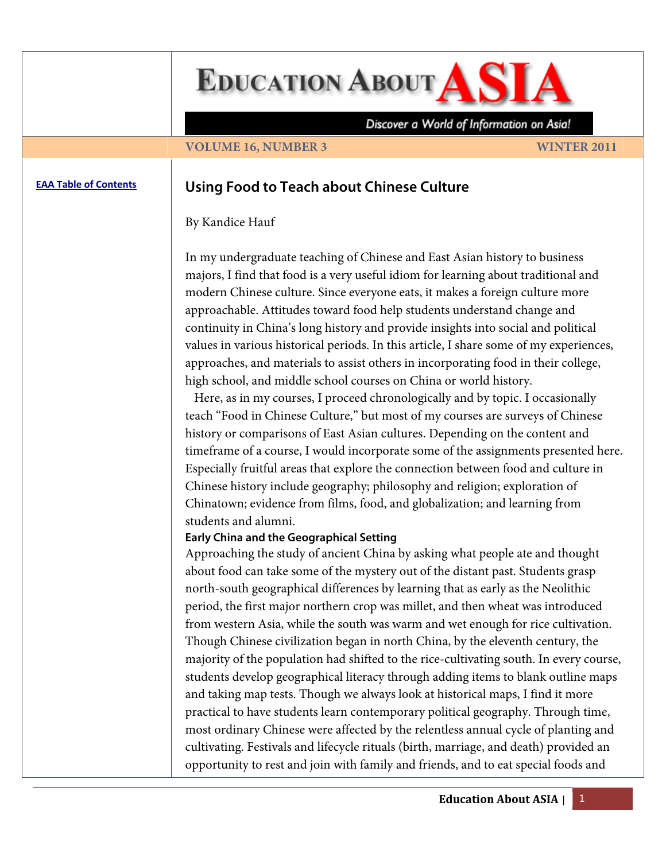**EDUCATION ABOUT AS** 

Discover a World of Information on Asia!

#### **VOLUME 16, NUMBER 3** WINTER 2011

# **EAA Table of [Contents](http://www.asian-studies.org/EAA/TOC/16-3.htm) Using Food to Teach about Chinese Culture**

## By Kandice Hauf

In my undergraduate teaching of Chinese and East Asian history to business majors, I find that food is a very useful idiom for learning about traditional and modern Chinese culture. Since everyone eats, it makes a foreign culture more approachable. Attitudes toward food help students understand change and continuity in China's long history and provide insights into social and political values in various historical periods. In this article, I share some of my experiences, approaches, and materials to assist others in incorporating food in their college, high school, and middle school courses on China or world history.

 Here, as in my courses, I proceed chronologically and by topic. I occasionally teach "Food in Chinese Culture," but most of my courses are surveys of Chinese history or comparisons of East Asian cultures. Depending on the content and timeframe of a course, I would incorporate some of the assignments presented here. Especially fruitful areas that explore the connection between food and culture in Chinese history include geography; philosophy and religion; exploration of Chinatown; evidence from films, food, and globalization; and learning from students and alumni.

### **Early China and the Geographical Setting**

Approaching the study of ancient China by asking what people ate and thought about food can take some of the mystery out of the distant past. Students grasp north-south geographical differences by learning that as early as the Neolithic period, the first major northern crop was millet, and then wheat was introduced from western Asia, while the south was warm and wet enough for rice cultivation. Though Chinese civilization began in north China, by the eleventh century, the majority of the population had shifted to the rice-cultivating south. In every course, students develop geographical literacy through adding items to blank outline maps and taking map tests. Though we always look at historical maps, I find it more practical to have students learn contemporary political geography. Through time, most ordinary Chinese were affected by the relentless annual cycle of planting and cultivating. Festivals and lifecycle rituals (birth, marriage, and death) provided an opportunity to rest and join with family and friends, and to eat special foods and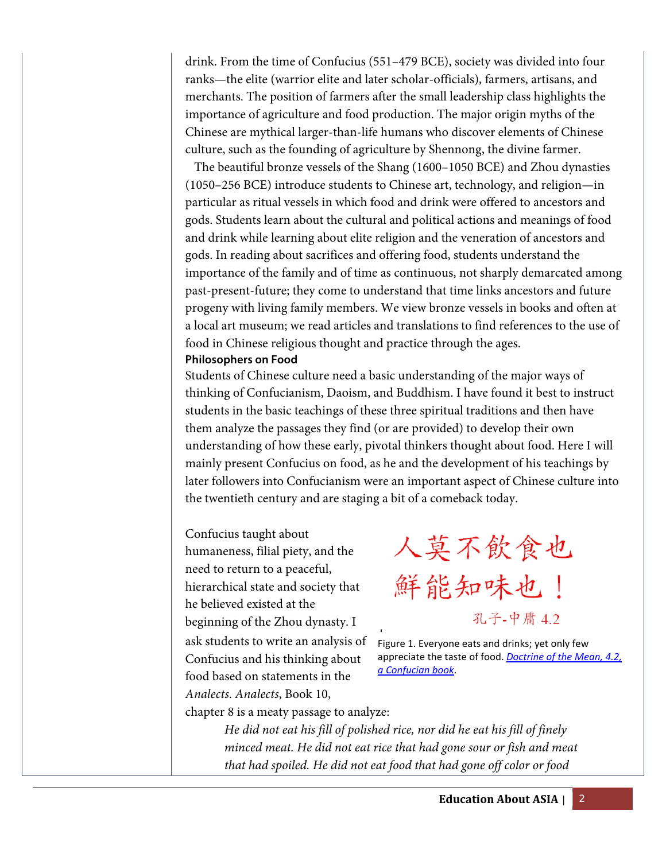drink. From the time of Confucius (551–479 BCE), society was divided into four ranks—the elite (warrior elite and later scholar-officials), farmers, artisans, and merchants. The position of farmers after the small leadership class highlights the importance of agriculture and food production. The major origin myths of the Chinese are mythical larger-than-life humans who discover elements of Chinese culture, such as the founding of agriculture by Shennong, the divine farmer.

 The beautiful bronze vessels of the Shang (1600–1050 BCE) and Zhou dynasties (1050–256 BCE) introduce students to Chinese art, technology, and religion—in particular as ritual vessels in which food and drink were offered to ancestors and gods. Students learn about the cultural and political actions and meanings of food and drink while learning about elite religion and the veneration of ancestors and gods. In reading about sacrifices and offering food, students understand the importance of the family and of time as continuous, not sharply demarcated among past-present-future; they come to understand that time links ancestors and future progeny with living family members. We view bronze vessels in books and often at a local art museum; we read articles and translations to find references to the use of food in Chinese religious thought and practice through the ages. **Philosophers on Food** 

Students of Chinese culture need a basic understanding of the major ways of thinking of Confucianism, Daoism, and Buddhism. I have found it best to instruct students in the basic teachings of these three spiritual traditions and then have them analyze the passages they find (or are provided) to develop their own understanding of how these early, pivotal thinkers thought about food. Here I will mainly present Confucius on food, as he and the development of his teachings by later followers into Confucianism were an important aspect of Chinese culture into the twentieth century and are staging a bit of a comeback today.

Confucius taught about humaneness, filial piety, and the need to return to a peaceful, hierarchical state and society that he believed existed at the beginning of the Zhou dynasty. I ask students to write an analysis of Confucius and his thinking about food based on statements in the *Analects*. *Analects*, Book 10,

人莫不飲食也 鮮能知味也! 孔子-中庸 4.2

Figure 1. Everyone eats and drinks; yet only few appreciate the taste of food. *Doctrine of the Mean, 4.2, a Confucian book*.

chapter 8 is a meaty passage to analyze:

*He did not eat his fill of polished rice, nor did he eat his fill of finely minced meat. He did not eat rice that had gone sour or fish and meat that had spoiled. He did not eat food that had gone off color or food*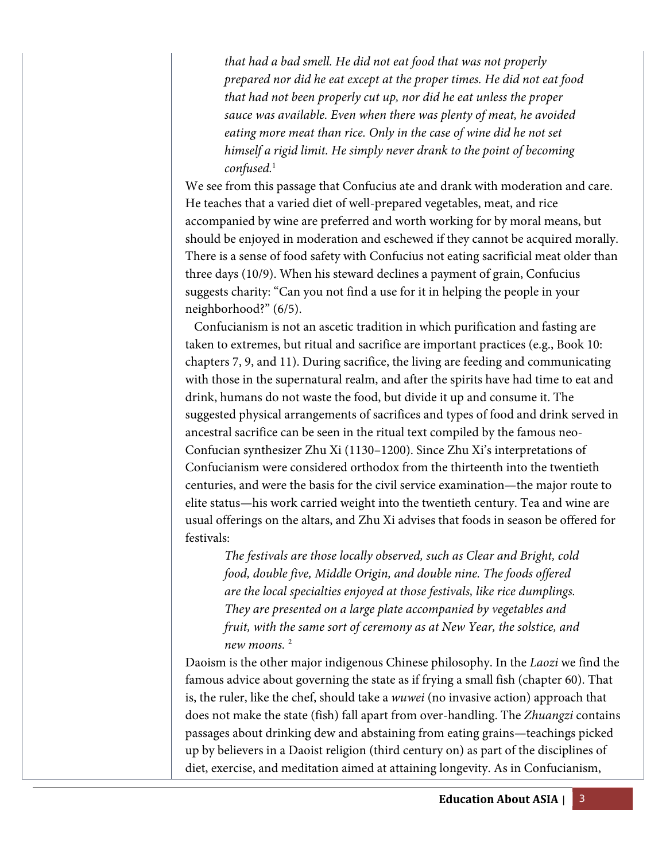*that had a bad smell. He did not eat food that was not properly prepared nor did he eat except at the proper times. He did not eat food that had not been properly cut up, nor did he eat unless the proper sauce was available. Even when there was plenty of meat, he avoided eating more meat than rice. Only in the case of wine did he not set himself a rigid limit. He simply never drank to the point of becoming confused.*<sup>1</sup>

We see from this passage that Confucius ate and drank with moderation and care. He teaches that a varied diet of well-prepared vegetables, meat, and rice accompanied by wine are preferred and worth working for by moral means, but should be enjoyed in moderation and eschewed if they cannot be acquired morally. There is a sense of food safety with Confucius not eating sacrificial meat older than three days (10/9). When his steward declines a payment of grain, Confucius suggests charity: "Can you not find a use for it in helping the people in your neighborhood?" (6/5).

 Confucianism is not an ascetic tradition in which purification and fasting are taken to extremes, but ritual and sacrifice are important practices (e.g., Book 10: chapters 7, 9, and 11). During sacrifice, the living are feeding and communicating with those in the supernatural realm, and after the spirits have had time to eat and drink, humans do not waste the food, but divide it up and consume it. The suggested physical arrangements of sacrifices and types of food and drink served in ancestral sacrifice can be seen in the ritual text compiled by the famous neo-Confucian synthesizer Zhu Xi (1130–1200). Since Zhu Xi's interpretations of Confucianism were considered orthodox from the thirteenth into the twentieth centuries, and were the basis for the civil service examination—the major route to elite status—his work carried weight into the twentieth century. Tea and wine are usual offerings on the altars, and Zhu Xi advises that foods in season be offered for festivals:

*The festivals are those locally observed, such as Clear and Bright, cold food, double five, Middle Origin, and double nine. The foods offered are the local specialties enjoyed at those festivals, like rice dumplings. They are presented on a large plate accompanied by vegetables and fruit, with the same sort of ceremony as at New Year, the solstice, and new moons.* <sup>2</sup>

Daoism is the other major indigenous Chinese philosophy. In the *Laozi* we find the famous advice about governing the state as if frying a small fish (chapter 60). That is, the ruler, like the chef, should take a *wuwei* (no invasive action) approach that does not make the state (fish) fall apart from over-handling. The *Zhuangzi* contains passages about drinking dew and abstaining from eating grains—teachings picked up by believers in a Daoist religion (third century on) as part of the disciplines of diet, exercise, and meditation aimed at attaining longevity. As in Confucianism,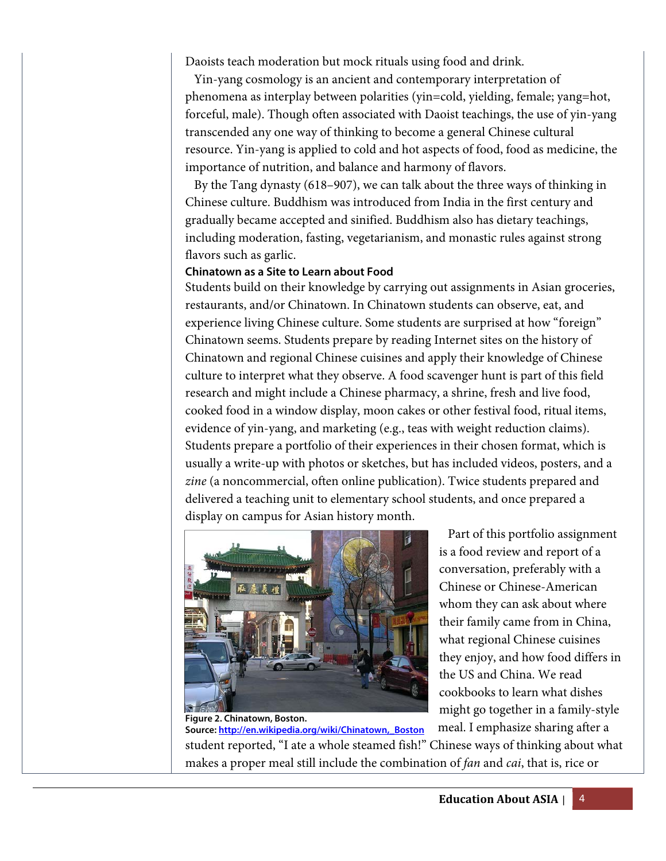Daoists teach moderation but mock rituals using food and drink.

 Yin-yang cosmology is an ancient and contemporary interpretation of phenomena as interplay between polarities (yin=cold, yielding, female; yang=hot, forceful, male). Though often associated with Daoist teachings, the use of yin-yang transcended any one way of thinking to become a general Chinese cultural resource. Yin-yang is applied to cold and hot aspects of food, food as medicine, the importance of nutrition, and balance and harmony of flavors.

 By the Tang dynasty (618–907), we can talk about the three ways of thinking in Chinese culture. Buddhism was introduced from India in the first century and gradually became accepted and sinified. Buddhism also has dietary teachings, including moderation, fasting, vegetarianism, and monastic rules against strong flavors such as garlic.

# **Chinatown as a Site to Learn about Food**

Students build on their knowledge by carrying out assignments in Asian groceries, restaurants, and/or Chinatown. In Chinatown students can observe, eat, and experience living Chinese culture. Some students are surprised at how "foreign" Chinatown seems. Students prepare by reading Internet sites on the history of Chinatown and regional Chinese cuisines and apply their knowledge of Chinese culture to interpret what they observe. A food scavenger hunt is part of this field research and might include a Chinese pharmacy, a shrine, fresh and live food, cooked food in a window display, moon cakes or other festival food, ritual items, evidence of yin-yang, and marketing (e.g., teas with weight reduction claims). Students prepare a portfolio of their experiences in their chosen format, which is usually a write-up with photos or sketches, but has included videos, posters, and a *zine* (a noncommercial, often online publication). Twice students prepared and delivered a teaching unit to elementary school students, and once prepared a display on campus for Asian history month.



 Part of this portfolio assignment is a food review and report of a conversation, preferably with a Chinese or Chinese-American whom they can ask about where their family came from in China, what regional Chinese cuisines they enjoy, and how food differs in the US and China. We read cookbooks to learn what dishes might go together in a family-style

meal. I emphasize sharing after a student reported, "I ate a whole steamed fish!" Chinese ways of thinking about what makes a proper meal still include the combination of *fan* and *cai*, that is, rice or **Source: http://en.wikipedia.org/wiki/Chinatown,\_Boston**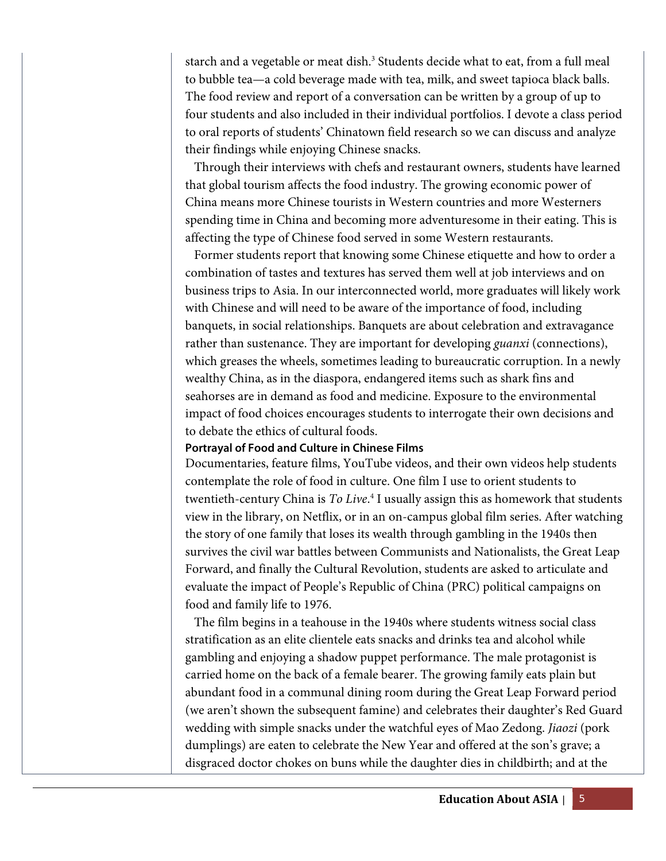starch and a vegetable or meat dish.<sup>3</sup> Students decide what to eat, from a full meal to bubble tea—a cold beverage made with tea, milk, and sweet tapioca black balls. The food review and report of a conversation can be written by a group of up to four students and also included in their individual portfolios. I devote a class period to oral reports of students' Chinatown field research so we can discuss and analyze their findings while enjoying Chinese snacks.

 Through their interviews with chefs and restaurant owners, students have learned that global tourism affects the food industry. The growing economic power of China means more Chinese tourists in Western countries and more Westerners spending time in China and becoming more adventuresome in their eating. This is affecting the type of Chinese food served in some Western restaurants.

 Former students report that knowing some Chinese etiquette and how to order a combination of tastes and textures has served them well at job interviews and on business trips to Asia. In our interconnected world, more graduates will likely work with Chinese and will need to be aware of the importance of food, including banquets, in social relationships. Banquets are about celebration and extravagance rather than sustenance. They are important for developing *guanxi* (connections), which greases the wheels, sometimes leading to bureaucratic corruption. In a newly wealthy China, as in the diaspora, endangered items such as shark fins and seahorses are in demand as food and medicine. Exposure to the environmental impact of food choices encourages students to interrogate their own decisions and to debate the ethics of cultural foods.

## **Portrayal of Food and Culture in Chinese Films**

Documentaries, feature films, YouTube videos, and their own videos help students contemplate the role of food in culture. One film I use to orient students to twentieth-century China is *To Live*. 4 I usually assign this as homework that students view in the library, on Netflix, or in an on-campus global film series. After watching the story of one family that loses its wealth through gambling in the 1940s then survives the civil war battles between Communists and Nationalists, the Great Leap Forward, and finally the Cultural Revolution, students are asked to articulate and evaluate the impact of People's Republic of China (PRC) political campaigns on food and family life to 1976.

 The film begins in a teahouse in the 1940s where students witness social class stratification as an elite clientele eats snacks and drinks tea and alcohol while gambling and enjoying a shadow puppet performance. The male protagonist is carried home on the back of a female bearer. The growing family eats plain but abundant food in a communal dining room during the Great Leap Forward period (we aren't shown the subsequent famine) and celebrates their daughter's Red Guard wedding with simple snacks under the watchful eyes of Mao Zedong. *Jiaozi* (pork dumplings) are eaten to celebrate the New Year and offered at the son's grave; a disgraced doctor chokes on buns while the daughter dies in childbirth; and at the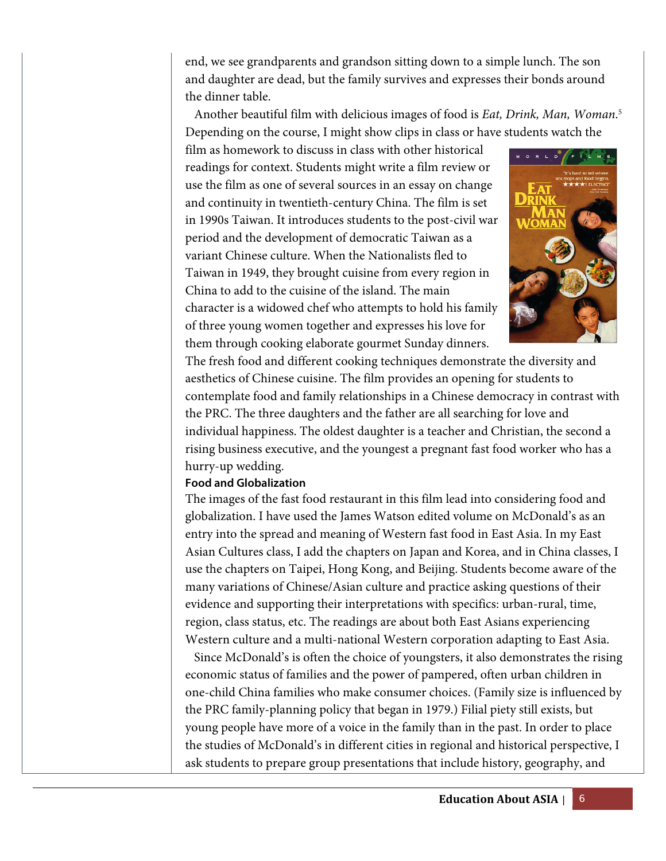end, we see grandparents and grandson sitting down to a simple lunch. The son and daughter are dead, but the family survives and expresses their bonds around the dinner table.

 Another beautiful film with delicious images of food is *Eat, Drink, Man, Woman*. 5 Depending on the course, I might show clips in class or have students watch the

film as homework to discuss in class with other historical readings for context. Students might write a film review or use the film as one of several sources in an essay on change and continuity in twentieth-century China. The film is set in 1990s Taiwan. It introduces students to the post-civil war period and the development of democratic Taiwan as a variant Chinese culture. When the Nationalists fled to Taiwan in 1949, they brought cuisine from every region in China to add to the cuisine of the island. The main character is a widowed chef who attempts to hold his family of three young women together and expresses his love for them through cooking elaborate gourmet Sunday dinners.



The fresh food and different cooking techniques demonstrate the diversity and aesthetics of Chinese cuisine. The film provides an opening for students to contemplate food and family relationships in a Chinese democracy in contrast with the PRC. The three daughters and the father are all searching for love and individual happiness. The oldest daughter is a teacher and Christian, the second a rising business executive, and the youngest a pregnant fast food worker who has a hurry-up wedding.

# **Food and Globalization**

The images of the fast food restaurant in this film lead into considering food and globalization. I have used the James Watson edited volume on McDonald's as an entry into the spread and meaning of Western fast food in East Asia. In my East Asian Cultures class, I add the chapters on Japan and Korea, and in China classes, I use the chapters on Taipei, Hong Kong, and Beijing. Students become aware of the many variations of Chinese/Asian culture and practice asking questions of their evidence and supporting their interpretations with specifics: urban-rural, time, region, class status, etc. The readings are about both East Asians experiencing Western culture and a multi-national Western corporation adapting to East Asia.

 Since McDonald's is often the choice of youngsters, it also demonstrates the rising economic status of families and the power of pampered, often urban children in one-child China families who make consumer choices. (Family size is influenced by the PRC family-planning policy that began in 1979.) Filial piety still exists, but young people have more of a voice in the family than in the past. In order to place the studies of McDonald's in different cities in regional and historical perspective, I ask students to prepare group presentations that include history, geography, and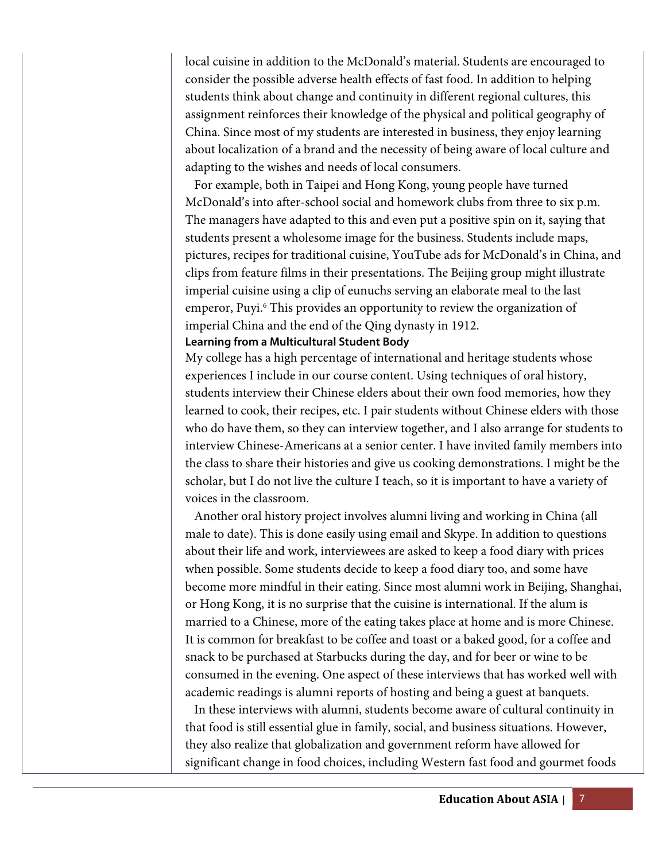local cuisine in addition to the McDonald's material. Students are encouraged to consider the possible adverse health effects of fast food. In addition to helping students think about change and continuity in different regional cultures, this assignment reinforces their knowledge of the physical and political geography of China. Since most of my students are interested in business, they enjoy learning about localization of a brand and the necessity of being aware of local culture and adapting to the wishes and needs of local consumers.

 For example, both in Taipei and Hong Kong, young people have turned McDonald's into after-school social and homework clubs from three to six p.m. The managers have adapted to this and even put a positive spin on it, saying that students present a wholesome image for the business. Students include maps, pictures, recipes for traditional cuisine, YouTube ads for McDonald's in China, and clips from feature films in their presentations. The Beijing group might illustrate imperial cuisine using a clip of eunuchs serving an elaborate meal to the last emperor, Puyi.<sup>6</sup> This provides an opportunity to review the organization of imperial China and the end of the Qing dynasty in 1912.

# **Learning from a Multicultural Student Body**

My college has a high percentage of international and heritage students whose experiences I include in our course content. Using techniques of oral history, students interview their Chinese elders about their own food memories, how they learned to cook, their recipes, etc. I pair students without Chinese elders with those who do have them, so they can interview together, and I also arrange for students to interview Chinese-Americans at a senior center. I have invited family members into the class to share their histories and give us cooking demonstrations. I might be the scholar, but I do not live the culture I teach, so it is important to have a variety of voices in the classroom.

 Another oral history project involves alumni living and working in China (all male to date). This is done easily using email and Skype. In addition to questions about their life and work, interviewees are asked to keep a food diary with prices when possible. Some students decide to keep a food diary too, and some have become more mindful in their eating. Since most alumni work in Beijing, Shanghai, or Hong Kong, it is no surprise that the cuisine is international. If the alum is married to a Chinese, more of the eating takes place at home and is more Chinese. It is common for breakfast to be coffee and toast or a baked good, for a coffee and snack to be purchased at Starbucks during the day, and for beer or wine to be consumed in the evening. One aspect of these interviews that has worked well with academic readings is alumni reports of hosting and being a guest at banquets.

 In these interviews with alumni, students become aware of cultural continuity in that food is still essential glue in family, social, and business situations. However, they also realize that globalization and government reform have allowed for significant change in food choices, including Western fast food and gourmet foods